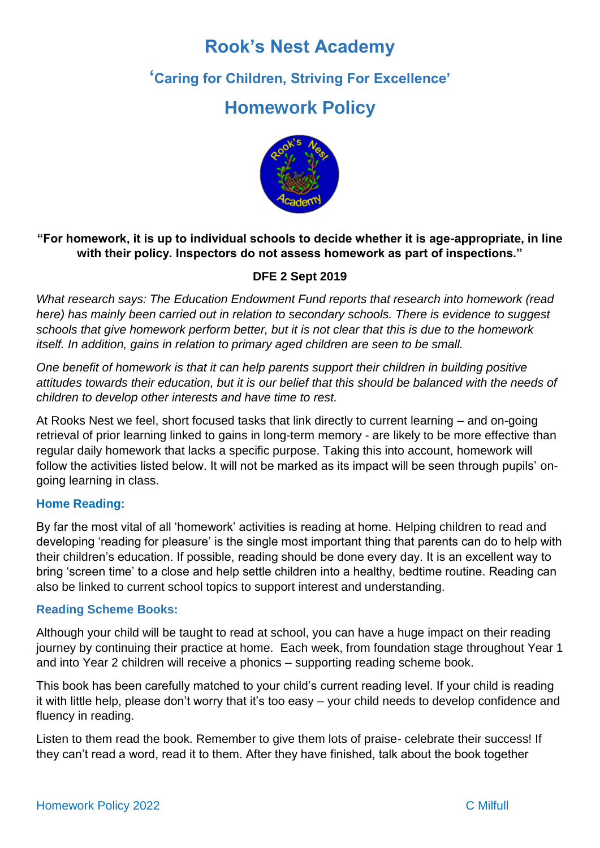# **Rook's Nest Academy**

## **'Caring for Children, Striving For Excellence'**

# **Homework Policy**



## **"For homework, it is up to individual schools to decide whether it is age-appropriate, in line with their policy. Inspectors do not assess homework as part of inspections."**

## **DFE 2 Sept 2019**

*What research says: The Education Endowment Fund reports that research into homework (read here) has mainly been carried out in relation to secondary schools. There is evidence to suggest schools that give homework perform better, but it is not clear that this is due to the homework itself. In addition, gains in relation to primary aged children are seen to be small.* 

*One benefit of homework is that it can help parents support their children in building positive attitudes towards their education, but it is our belief that this should be balanced with the needs of children to develop other interests and have time to rest.*

At Rooks Nest we feel, short focused tasks that link directly to current learning – and on-going retrieval of prior learning linked to gains in long-term memory - are likely to be more effective than regular daily homework that lacks a specific purpose. Taking this into account, homework will follow the activities listed below. It will not be marked as its impact will be seen through pupils' ongoing learning in class.

### **Home Reading:**

By far the most vital of all 'homework' activities is reading at home. Helping children to read and developing 'reading for pleasure' is the single most important thing that parents can do to help with their children's education. If possible, reading should be done every day. It is an excellent way to bring 'screen time' to a close and help settle children into a healthy, bedtime routine. Reading can also be linked to current school topics to support interest and understanding.

### **Reading Scheme Books:**

Although your child will be taught to read at school, you can have a huge impact on their reading journey by continuing their practice at home. Each week, from foundation stage throughout Year 1 and into Year 2 children will receive a phonics – supporting reading scheme book.

This book has been carefully matched to your child's current reading level. If your child is reading it with little help, please don't worry that it's too easy – your child needs to develop confidence and fluency in reading.

Listen to them read the book. Remember to give them lots of praise- celebrate their success! If they can't read a word, read it to them. After they have finished, talk about the book together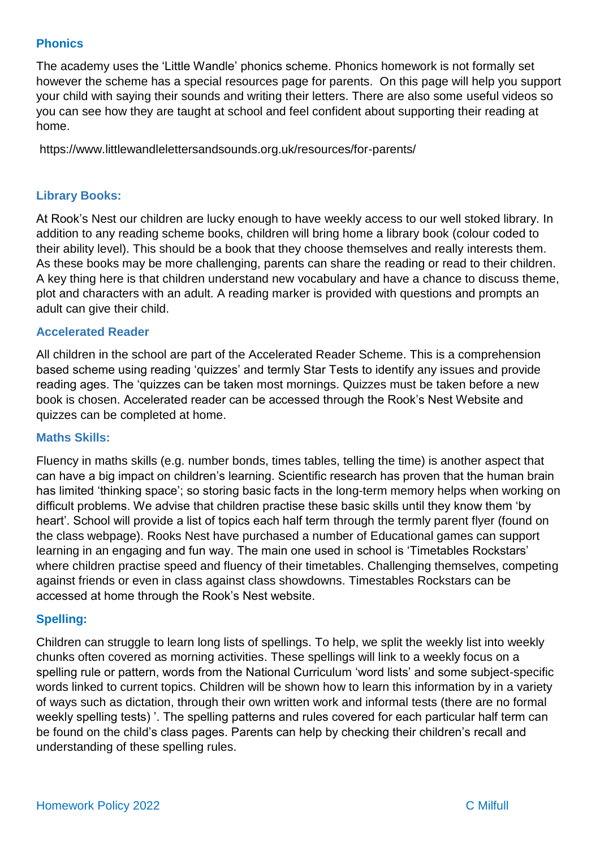#### **Phonics**

The academy uses the 'Little Wandle' phonics scheme. Phonics homework is not formally set however the scheme has a special resources page for parents. On this page will help you support your child with saying their sounds and writing their letters. There are also some useful videos so you can see how they are taught at school and feel confident about supporting their reading at home.

https://www.littlewandlelettersandsounds.org.uk/resources/for-parents/

#### **Library Books:**

At Rook's Nest our children are lucky enough to have weekly access to our well stoked library. In addition to any reading scheme books, children will bring home a library book (colour coded to their ability level). This should be a book that they choose themselves and really interests them. As these books may be more challenging, parents can share the reading or read to their children. A key thing here is that children understand new vocabulary and have a chance to discuss theme, plot and characters with an adult. A reading marker is provided with questions and prompts an adult can give their child.

#### **Accelerated Reader**

All children in the school are part of the Accelerated Reader Scheme. This is a comprehension based scheme using reading 'quizzes' and termly Star Tests to identify any issues and provide reading ages. The 'quizzes can be taken most mornings. Quizzes must be taken before a new book is chosen. Accelerated reader can be accessed through the Rook's Nest Website and quizzes can be completed at home.

#### **Maths Skills:**

Fluency in maths skills (e.g. number bonds, times tables, telling the time) is another aspect that can have a big impact on children's learning. Scientific research has proven that the human brain has limited 'thinking space'; so storing basic facts in the long-term memory helps when working on difficult problems. We advise that children practise these basic skills until they know them 'by heart'. School will provide a list of topics each half term through the termly parent flyer (found on the class webpage). Rooks Nest have purchased a number of Educational games can support learning in an engaging and fun way. The main one used in school is 'Timetables Rockstars' where children practise speed and fluency of their timetables. Challenging themselves, competing against friends or even in class against class showdowns. Timestables Rockstars can be accessed at home through the Rook's Nest website.

#### **Spelling:**

Children can struggle to learn long lists of spellings. To help, we split the weekly list into weekly chunks often covered as morning activities. These spellings will link to a weekly focus on a spelling rule or pattern, words from the National Curriculum 'word lists' and some subject-specific words linked to current topics. Children will be shown how to learn this information by in a variety of ways such as dictation, through their own written work and informal tests (there are no formal weekly spelling tests) '. The spelling patterns and rules covered for each particular half term can be found on the child's class pages. Parents can help by checking their children's recall and understanding of these spelling rules.